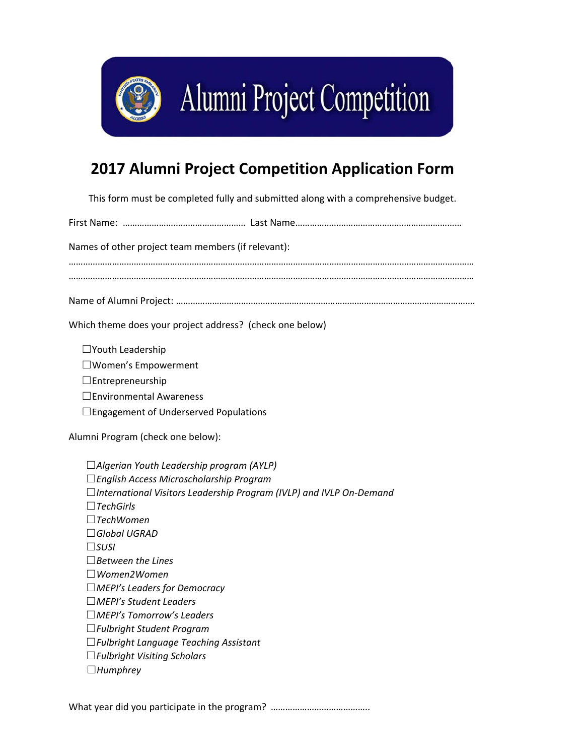

## **2017 Alumni Project Competition Application Form**

This form must be completed fully and submitted along with a comprehensive budget.

First Name: …………………………………………… Last Name…………………………………………………………… Names of other project team members (if relevant): …………………………………………………………………………………………………………………………………………………… …………………………………………………………………………………………………………………………………………………… Name of Alumni Project: ……………………………………………………………………………………………………………. Which theme does your project address? (check one below) ☐Youth Leadership ☐Women's Empowerment ☐Entrepreneurship ☐Environmental Awareness  $\Box$ Engagement of Underserved Populations Alumni Program (check one below): ☐*Algerian Youth Leadership program (AYLP)*  ☐*English Access Microscholarship Program*  ☐*International Visitors Leadership Program (IVLP) and IVLP On‐Demand*  ☐*TechGirls*  ☐*TechWomen*  ☐*Global UGRAD*  ☐*SUSI*  ☐*Between the Lines*  ☐*Women2Women*  ☐*MEPI's Leaders for Democracy*  ☐*MEPI's Student Leaders*  ☐*MEPI's Tomorrow's Leaders*  ☐*Fulbright Student Program*  ☐*Fulbright Language Teaching Assistant* 

- ☐*Fulbright Visiting Scholars*
- ☐*Humphrey*

What year did you participate in the program? *…………………………………..*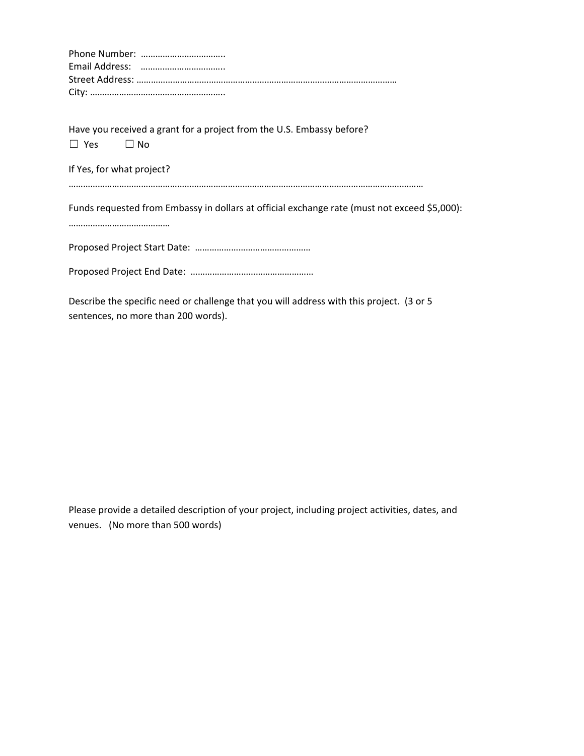Have you received a grant for a project from the U.S. Embassy before?  $\Box$  Yes  $\Box$  No

If Yes, for what project?

…………………………………………………………………………………………………………………………………

Funds requested from Embassy in dollars at official exchange rate (must not exceed \$5,000):

……………………………………

Proposed Project Start Date: …………………………………………

Proposed Project End Date: ……………………………………………

Describe the specific need or challenge that you will address with this project. (3 or 5 sentences, no more than 200 words).

Please provide a detailed description of your project, including project activities, dates, and venues. (No more than 500 words)